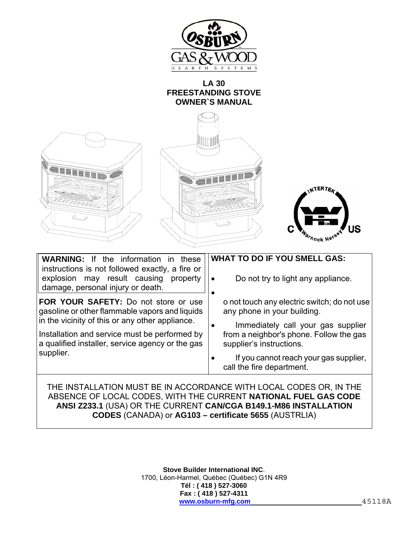

### **LA 30 FREESTANDING STOVE OWNER`S MANUAL**

| <b>ATION DEPARTMENT</b><br>$\mathbb{Z}$                                                                                                                                            | NTERTEA<br>Thock Herse                                                                                    |
|------------------------------------------------------------------------------------------------------------------------------------------------------------------------------------|-----------------------------------------------------------------------------------------------------------|
| If the information in these<br><b>WARNING:</b><br>instructions is not followed exactly, a fire or<br>explosion may result causing<br>property<br>damage, personal injury or death. | <b>WHAT TO DO IF YOU SMELL GAS:</b><br>Do not try to light any appliance.                                 |
| FOR YOUR SAFETY: Do not store or use<br>gasoline or other flammable vapors and liquids<br>in the vicinity of this or any other appliance.                                          | o not touch any electric switch; do not use<br>any phone in your building.                                |
| Installation and service must be performed by<br>a qualified installer, service agency or the gas                                                                                  | Immediately call your gas supplier<br>from a neighbor's phone. Follow the gas<br>supplier's instructions. |
| supplier.                                                                                                                                                                          | If you cannot reach your gas supplier,<br>call the fire department.                                       |
| THE INSTALLATION MUST BE IN ACCORDANCE WITH LOCAL CODES OR, IN THE<br>ABSENCE OF LOCAL CODES, WITH THE CURRENT NATIONAL FUEL GAS CODE                                              |                                                                                                           |

# **ANSI Z233.1** (USA) OR THE CURRENT **CAN/CGA B149.1-M86 INSTALLATION CODES** (CANADA) or **AG103 – certificate 5655** (AUSTRLIA)

**Stove Builder International INC**. 1700, Léon-Harmel, Québec (Québec) G1N 4R9 **Tél : ( 418 ) 527-3060 Fax : ( 418 ) 527-4311 www.osburn-mfg.com** 45118A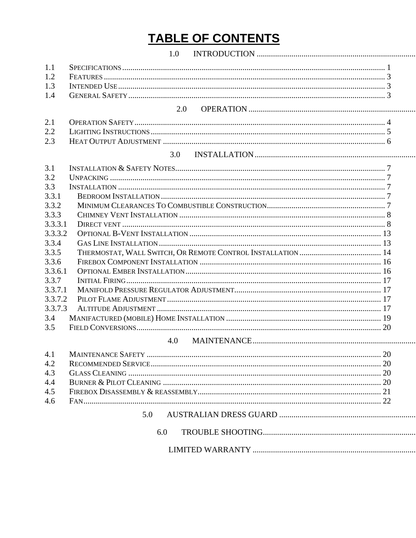# **TABLE OF CONTENTS**

|         | 1.0 |  |
|---------|-----|--|
| 1.1     |     |  |
| 1.2     |     |  |
| 1.3     |     |  |
| 1.4     |     |  |
|         | 2.0 |  |
| 2.1     |     |  |
| 2.2     |     |  |
| 2.3     |     |  |
|         | 3.0 |  |
| 3.1     |     |  |
| 3.2     |     |  |
| 3.3     |     |  |
| 3.3.1   |     |  |
| 3.3.2   |     |  |
| 3.3.3   |     |  |
| 3.3.3.1 |     |  |
| 3.3.3.2 |     |  |
| 3.3.4   |     |  |
| 3.3.5   |     |  |
| 3.3.6   |     |  |
| 3.3.6.1 |     |  |
| 3.3.7   |     |  |
| 3.3.7.1 |     |  |
| 3.3.7.2 |     |  |
| 3.3.7.3 |     |  |
| 3.4     |     |  |
| 3.5     |     |  |
|         | 4.0 |  |

| 4.2 |  |
|-----|--|
| 4.3 |  |
| 4.4 |  |
| 4.5 |  |
|     |  |
|     |  |
|     |  |

| . |  |
|---|--|
|   |  |
|   |  |
|   |  |
|   |  |
|   |  |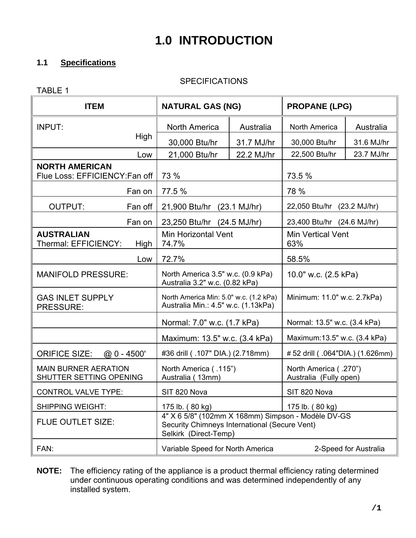# **1.0 INTRODUCTION**

### **1.1 Specifications**

### **SPECIFICATIONS**

| <b>ITEM</b>                                             | <b>NATURAL GAS (NG)</b>                                                                                                      |            | <b>PROPANE (LPG)</b>                            |            |  |
|---------------------------------------------------------|------------------------------------------------------------------------------------------------------------------------------|------------|-------------------------------------------------|------------|--|
| <b>INPUT:</b>                                           | <b>North America</b>                                                                                                         | Australia  | North America                                   | Australia  |  |
| High                                                    | 30,000 Btu/hr                                                                                                                | 31.7 MJ/hr | 30,000 Btu/hr                                   | 31.6 MJ/hr |  |
| Low                                                     | 21,000 Btu/hr                                                                                                                | 22.2 MJ/hr | 22,500 Btu/hr                                   | 23.7 MJ/hr |  |
| <b>NORTH AMERICAN</b><br>Flue Loss: EFFICIENCY: Fan off | 73 %                                                                                                                         |            | 73.5 %                                          |            |  |
| Fan on                                                  | 77.5 %                                                                                                                       |            | 78 %                                            |            |  |
| <b>OUTPUT:</b><br>Fan off                               | 21,900 Btu/hr (23.1 MJ/hr)                                                                                                   |            | 22,050 Btu/hr (23.2 MJ/hr)                      |            |  |
| Fan on                                                  | 23,250 Btu/hr (24.5 MJ/hr)                                                                                                   |            | 23,400 Btu/hr (24.6 MJ/hr)                      |            |  |
| <b>AUSTRALIAN</b><br>Thermal: EFFICIENCY:<br>High       | Min Horizontal Vent<br>74.7%                                                                                                 |            | <b>Min Vertical Vent</b><br>63%                 |            |  |
| Low                                                     | 72.7%                                                                                                                        |            | 58.5%                                           |            |  |
| <b>MANIFOLD PRESSURE:</b>                               | North America 3.5" w.c. (0.9 kPa)<br>Australia 3.2" w.c. (0.82 kPa)                                                          |            | 10.0" w.c. (2.5 kPa)                            |            |  |
| <b>GAS INLET SUPPLY</b><br><b>PRESSURE:</b>             | North America Min: 5.0" w.c. (1.2 kPa)<br>Australia Min.: 4.5" w.c. (1.13kPa)                                                |            | Minimum: 11.0" w.c. 2.7kPa)                     |            |  |
|                                                         | Normal: 7.0" w.c. (1.7 kPa)                                                                                                  |            | Normal: 13.5" w.c. (3.4 kPa)                    |            |  |
|                                                         | Maximum: 13.5" w.c. (3.4 kPa)                                                                                                |            | Maximum: 13.5" w.c. (3.4 kPa)                   |            |  |
| <b>ORIFICE SIZE:</b><br>$@0 - 4500'$                    | #36 drill ( .107" DIA.) (2.718mm)                                                                                            |            | #52 drill (.064"DIA.) (1.626mm)                 |            |  |
| <b>MAIN BURNER AERATION</b><br>SHUTTER SETTING OPENING  | North America (.115")<br>Australia (13mm)                                                                                    |            | North America (.270")<br>Australia (Fully open) |            |  |
| <b>CONTROL VALVE TYPE:</b>                              | SIT 820 Nova                                                                                                                 |            | SIT 820 Nova                                    |            |  |
| <b>SHIPPING WEIGHT:</b>                                 | 175 lb. (80 kg)                                                                                                              |            | 175 lb. (80 kg)                                 |            |  |
| FLUE OUTLET SIZE:                                       | 4" X 6 5/8" (102mm X 168mm) Simpson - Modèle DV-GS<br>Security Chimneys International (Secure Vent)<br>Selkirk (Direct-Temp) |            |                                                 |            |  |
| FAN:                                                    | Variable Speed for North America<br>2-Speed for Australia                                                                    |            |                                                 |            |  |

**NOTE:** The efficiency rating of the appliance is a product thermal efficiency rating determined under continuous operating conditions and was determined independently of any installed system.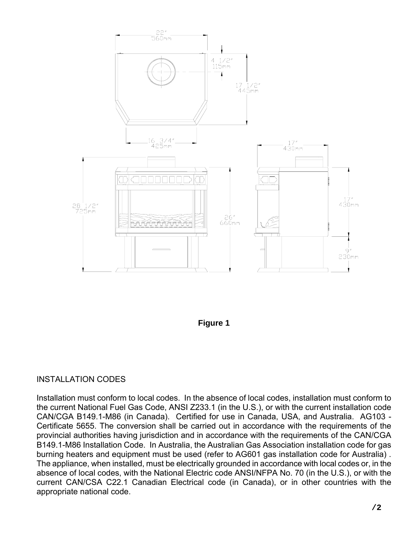

### **Figure 1**

### INSTALLATION CODES

Installation must conform to local codes. In the absence of local codes, installation must conform to the current National Fuel Gas Code, ANSI Z233.1 (in the U.S.), or with the current installation code CAN/CGA B149.1-M86 (in Canada). Certified for use in Canada, USA, and Australia. AG103 - Certificate 5655. The conversion shall be carried out in accordance with the requirements of the provincial authorities having jurisdiction and in accordance with the requirements of the CAN/CGA B149.1-M86 Installation Code. In Australia, the Australian Gas Association installation code for gas burning heaters and equipment must be used (refer to AG601 gas installation code for Australia) . The appliance, when installed, must be electrically grounded in accordance with local codes or, in the absence of local codes, with the National Electric code ANSI/NFPA No. 70 (in the U.S.), or with the current CAN/CSA C22.1 Canadian Electrical code (in Canada), or in other countries with the appropriate national code.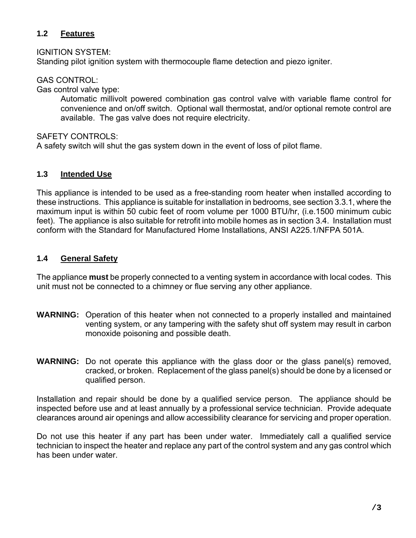### **1.2 Features**

IGNITION SYSTEM:

Standing pilot ignition system with thermocouple flame detection and piezo igniter.

GAS CONTROL:

Gas control valve type:

Automatic millivolt powered combination gas control valve with variable flame control for convenience and on/off switch. Optional wall thermostat, and/or optional remote control are available. The gas valve does not require electricity.

SAFFTY CONTROLS:

A safety switch will shut the gas system down in the event of loss of pilot flame.

### **1.3 Intended Use**

This appliance is intended to be used as a free-standing room heater when installed according to these instructions. This appliance is suitable for installation in bedrooms, see section 3.3.1, where the maximum input is within 50 cubic feet of room volume per 1000 BTU/hr, (i.e.1500 minimum cubic feet). The appliance is also suitable for retrofit into mobile homes as in section 3.4. Installation must conform with the Standard for Manufactured Home Installations, ANSI A225.1/NFPA 501A.

### **1.4 General Safety**

The appliance **must** be properly connected to a venting system in accordance with local codes. This unit must not be connected to a chimney or flue serving any other appliance.

- **WARNING:** Operation of this heater when not connected to a properly installed and maintained venting system, or any tampering with the safety shut off system may result in carbon monoxide poisoning and possible death.
- **WARNING:** Do not operate this appliance with the glass door or the glass panel(s) removed, cracked, or broken. Replacement of the glass panel(s) should be done by a licensed or qualified person.

Installation and repair should be done by a qualified service person. The appliance should be inspected before use and at least annually by a professional service technician. Provide adequate clearances around air openings and allow accessibility clearance for servicing and proper operation.

Do not use this heater if any part has been under water. Immediately call a qualified service technician to inspect the heater and replace any part of the control system and any gas control which has been under water.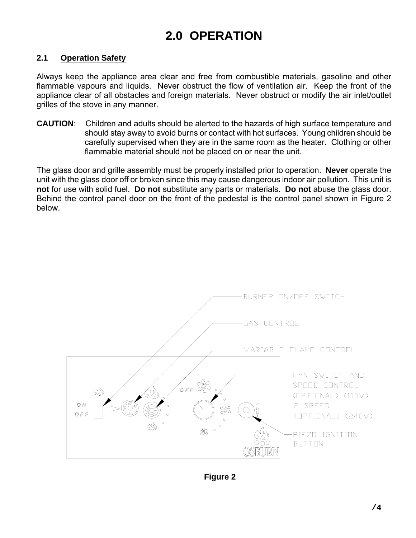## **2.0 OPERATION**

### **2.1 Operation Safety**

Always keep the appliance area clear and free from combustible materials, gasoline and other flammable vapours and liquids. Never obstruct the flow of ventilation air. Keep the front of the appliance clear of all obstacles and foreign materials. Never obstruct or modify the air inlet/outlet grilles of the stove in any manner.

**CAUTION**: Children and adults should be alerted to the hazards of high surface temperature and should stay away to avoid burns or contact with hot surfaces. Young children should be carefully supervised when they are in the same room as the heater. Clothing or other flammable material should not be placed on or near the unit.

The glass door and grille assembly must be properly installed prior to operation. **Never** operate the unit with the glass door off or broken since this may cause dangerous indoor air pollution. This unit is **not** for use with solid fuel. **Do not** substitute any parts or materials. **Do not** abuse the glass door. Behind the control panel door on the front of the pedestal is the control panel shown in Figure 2 below.



**Figure 2**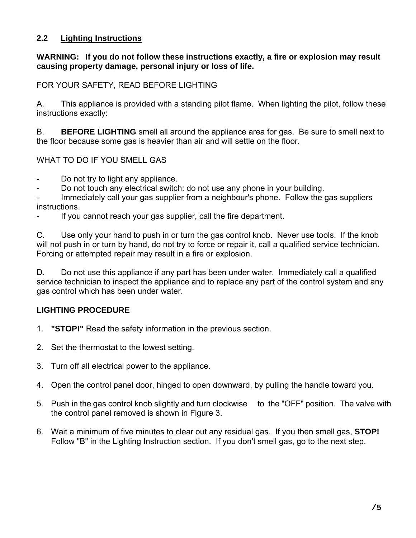### **2.2 Lighting Instructions**

### **WARNING: If you do not follow these instructions exactly, a fire or explosion may result causing property damage, personal injury or loss of life.**

### FOR YOUR SAFETY, READ BEFORE LIGHTING

A. This appliance is provided with a standing pilot flame. When lighting the pilot, follow these instructions exactly:

B. **BEFORE LIGHTING** smell all around the appliance area for gas. Be sure to smell next to the floor because some gas is heavier than air and will settle on the floor.

### WHAT TO DO IF YOU SMELL GAS

- Do not try to light any appliance.
- Do not touch any electrical switch: do not use any phone in your building.

Immediately call your gas supplier from a neighbour's phone. Follow the gas suppliers instructions.

If you cannot reach your gas supplier, call the fire department.

C. Use only your hand to push in or turn the gas control knob. Never use tools. If the knob will not push in or turn by hand, do not try to force or repair it, call a qualified service technician. Forcing or attempted repair may result in a fire or explosion.

D. Do not use this appliance if any part has been under water. Immediately call a qualified service technician to inspect the appliance and to replace any part of the control system and any gas control which has been under water.

### **LIGHTING PROCEDURE**

- 1. **"STOP!"** Read the safety information in the previous section.
- 2. Set the thermostat to the lowest setting.
- 3. Turn off all electrical power to the appliance.
- 4. Open the control panel door, hinged to open downward, by pulling the handle toward you.
- 5. Push in the gas control knob slightly and turn clockwise to the "OFF" position. The valve with the control panel removed is shown in Figure 3.
- 6. Wait a minimum of five minutes to clear out any residual gas. If you then smell gas, **STOP!** Follow "B" in the Lighting Instruction section. If you don't smell gas, go to the next step.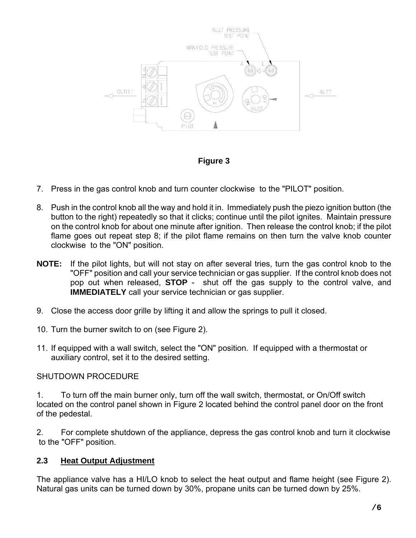

**Figure 3** 

- 7. Press in the gas control knob and turn counter clockwise to the "PILOT" position.
- 8. Push in the control knob all the way and hold it in. Immediately push the piezo ignition button (the button to the right) repeatedly so that it clicks; continue until the pilot ignites. Maintain pressure on the control knob for about one minute after ignition. Then release the control knob; if the pilot flame goes out repeat step 8; if the pilot flame remains on then turn the valve knob counter clockwise to the "ON" position.
- **NOTE:** If the pilot lights, but will not stay on after several tries, turn the gas control knob to the "OFF" position and call your service technician or gas supplier. If the control knob does not pop out when released, **STOP** - shut off the gas supply to the control valve, and **IMMEDIATELY** call your service technician or gas supplier.
- 9. Close the access door grille by lifting it and allow the springs to pull it closed.
- 10. Turn the burner switch to on (see Figure 2).
- 11. If equipped with a wall switch, select the "ON" position. If equipped with a thermostat or auxiliary control, set it to the desired setting.

### SHUTDOWN PROCEDURE

1. To turn off the main burner only, turn off the wall switch, thermostat, or On/Off switch located on the control panel shown in Figure 2 located behind the control panel door on the front of the pedestal.

2. For complete shutdown of the appliance, depress the gas control knob and turn it clockwise to the "OFF" position.

### **2.3 Heat Output Adjustment**

The appliance valve has a HI/LO knob to select the heat output and flame height (see Figure 2). Natural gas units can be turned down by 30%, propane units can be turned down by 25%.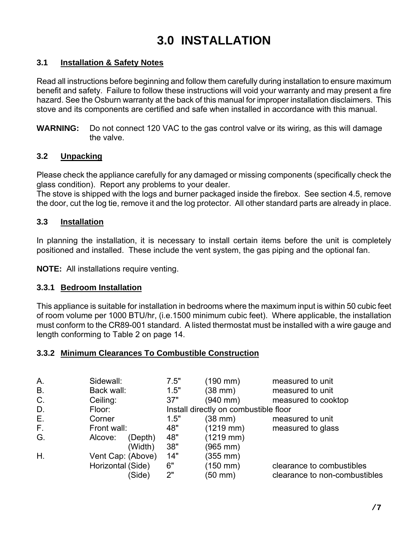# **3.0 INSTALLATION**

### **3.1 Installation & Safety Notes**

Read all instructions before beginning and follow them carefully during installation to ensure maximum benefit and safety. Failure to follow these instructions will void your warranty and may present a fire hazard. See the Osburn warranty at the back of this manual for improper installation disclaimers. This stove and its components are certified and safe when installed in accordance with this manual.

**WARNING:** Do not connect 120 VAC to the gas control valve or its wiring, as this will damage the valve.

### **3.2 Unpacking**

Please check the appliance carefully for any damaged or missing components (specifically check the glass condition). Report any problems to your dealer.

The stove is shipped with the logs and burner packaged inside the firebox. See section 4.5, remove the door, cut the log tie, remove it and the log protector. All other standard parts are already in place.

### **3.3 Installation**

In planning the installation, it is necessary to install certain items before the unit is completely positioned and installed. These include the vent system, the gas piping and the optional fan.

**NOTE:** All installations require venting.

### **3.3.1 Bedroom Installation**

This appliance is suitable for installation in bedrooms where the maximum input is within 50 cubic feet of room volume per 1000 BTU/hr, (i.e.1500 minimum cubic feet). Where applicable, the installation must conform to the CR89-001 standard. A listed thermostat must be installed with a wire gauge and length conforming to Table 2 on page 14.

### **3.3.2 Minimum Clearances To Combustible Construction**

| Α.        | Sidewall:         |         | 7.5" | (190 mm)                              | measured to unit              |
|-----------|-------------------|---------|------|---------------------------------------|-------------------------------|
| <b>B.</b> | Back wall:        |         | 1.5" | (38 mm)                               | measured to unit              |
| $C$ .     | Ceiling:          |         | 37"  | (940 mm)                              | measured to cooktop           |
| D.        | Floor:            |         |      | Install directly on combustible floor |                               |
| Е.        | Corner            |         | 1.5" | (38 mm)                               | measured to unit              |
| F.        | Front wall:       |         | 48"  | $(1219 \text{ mm})$                   | measured to glass             |
| G.        | Alcove:           | (Depth) | 48"  | $(1219 \text{ mm})$                   |                               |
|           |                   | (Width) | 38"  | (965 mm)                              |                               |
| Η.        | Vent Cap: (Above) |         | 14"  | (355 mm)                              |                               |
|           | Horizontal (Side) |         | 6"   | (150 mm)                              | clearance to combustibles     |
|           |                   | (Side)  | 2"   | (50 mm)                               | clearance to non-combustibles |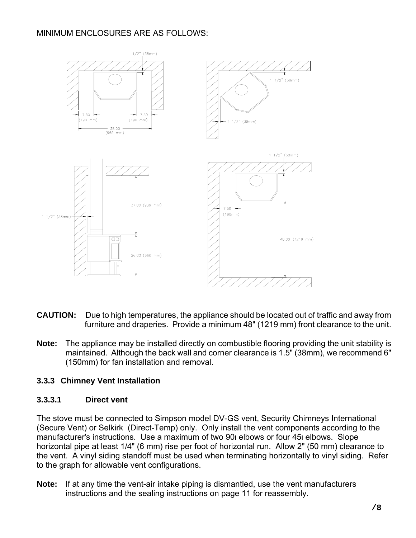### MINIMUM ENCLOSURES ARE AS FOLLOWS:



- **CAUTION:** Due to high temperatures, the appliance should be located out of traffic and away from furniture and draperies. Provide a minimum 48" (1219 mm) front clearance to the unit.
- **Note:** The appliance may be installed directly on combustible flooring providing the unit stability is maintained. Although the back wall and corner clearance is 1.5" (38mm), we recommend 6" (150mm) for fan installation and removal.

### **3.3.3 Chimney Vent Installation**

### **3.3.3.1 Direct vent**

The stove must be connected to Simpson model DV-GS vent, Security Chimneys International (Secure Vent) or Selkirk (Direct-Temp) only. Only install the vent components according to the manufacturer's instructions. Use a maximum of two 90 elbows or four 45 elbows. Slope horizontal pipe at least 1/4" (6 mm) rise per foot of horizontal run. Allow 2" (50 mm) clearance to the vent. A vinyl siding standoff must be used when terminating horizontally to vinyl siding. Refer to the graph for allowable vent configurations.

**Note:** If at any time the vent-air intake piping is dismantled, use the vent manufacturers instructions and the sealing instructions on page 11 for reassembly.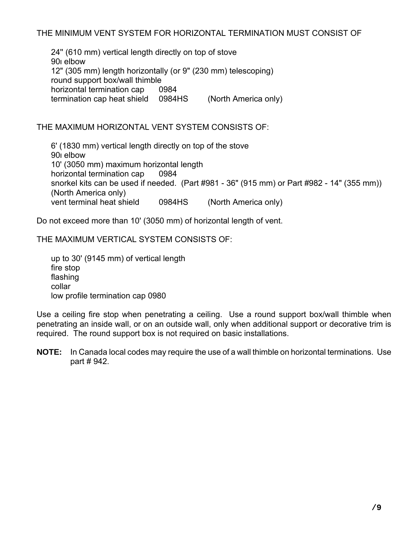24'' (610 mm) vertical length directly on top of stove 90<sub>l</sub> elbow 12" (305 mm) length horizontally (or 9" (230 mm) telescoping) round support box/wall thimble horizontal termination cap 0984 termination cap heat shield 0984HS (North America only)

### THE MAXIMUM HORIZONTAL VENT SYSTEM CONSISTS OF:

 6' (1830 mm) vertical length directly on top of the stove 90 elbow 10' (3050 mm) maximum horizontal length horizontal termination cap 0984 snorkel kits can be used if needed. (Part #981 - 36" (915 mm) or Part #982 - 14" (355 mm)) (North America only) vent terminal heat shield 0984HS (North America only)

Do not exceed more than 10' (3050 mm) of horizontal length of vent.

THE MAXIMUM VERTICAL SYSTEM CONSISTS OF:

 up to 30' (9145 mm) of vertical length fire stop flashing collar low profile termination cap 0980

Use a ceiling fire stop when penetrating a ceiling. Use a round support box/wall thimble when penetrating an inside wall, or on an outside wall, only when additional support or decorative trim is required. The round support box is not required on basic installations.

**NOTE:** In Canada local codes may require the use of a wall thimble on horizontal terminations. Use part # 942.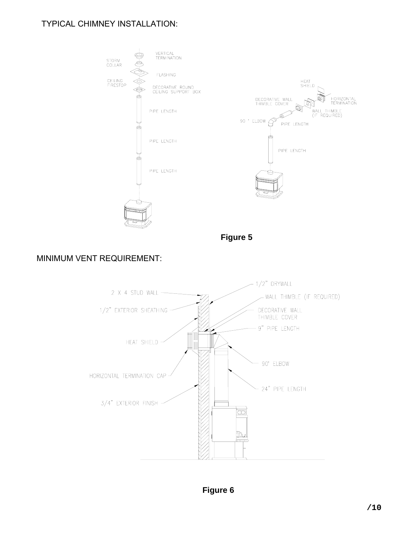### TYPICAL CHIMNEY INSTALLATION:



**Figure 5**

### MINIMUM VENT REQUIREMENT:



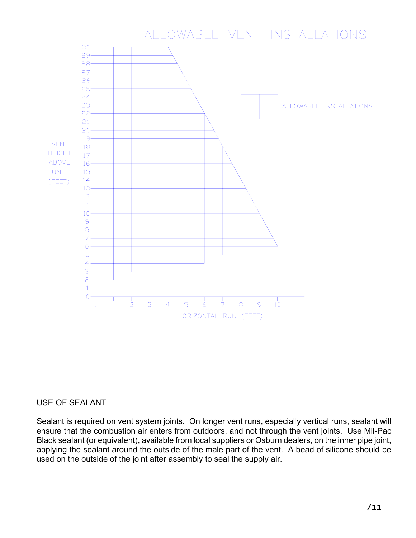### ALLOWABLE VENT INSTALLATIONS



### USE OF SEALANT

Sealant is required on vent system joints. On longer vent runs, especially vertical runs, sealant will ensure that the combustion air enters from outdoors, and not through the vent joints. Use Mil-Pac Black sealant (or equivalent), available from local suppliers or Osburn dealers, on the inner pipe joint, applying the sealant around the outside of the male part of the vent. A bead of silicone should be used on the outside of the joint after assembly to seal the supply air.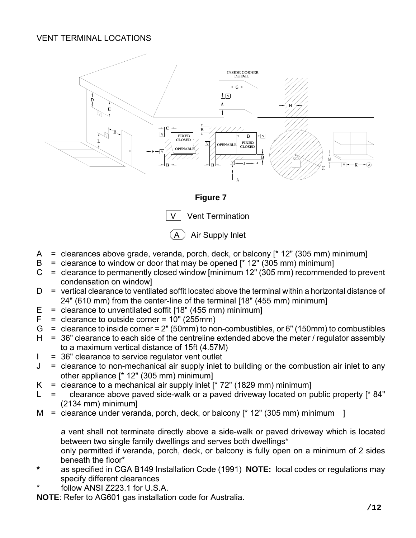### VENT TERMINAL LOCATIONS



**Figure 7** 



Air Supply Inlet

- A = clearances above grade, veranda, porch, deck, or balcony [\* 12" (305 mm) minimum]
- $B =$  clearance to window or door that may be opened [ $*$  12" (305 mm) minimum]
- $C =$  clearance to permanently closed window [minimum 12" (305 mm) recommended to prevent condensation on window]
- $D =$  vertical clearance to ventilated soffit located above the terminal within a horizontal distance of 24" (610 mm) from the center-line of the terminal [18" (455 mm) minimum]
- $E =$  clearance to unventilated soffit [18" (455 mm) minimum]
- $F =$  clearance to outside corner = 10" (255mm)
- $G =$  clearance to inside corner = 2" (50mm) to non-combustibles, or 6" (150mm) to combustibles
- $H = 36$ " clearance to each side of the centreline extended above the meter / regulator assembly to a maximum vertical distance of 15ft (4.57M)
- $I = 36"$  clearance to service regulator vent outlet
- $J =$  clearance to non-mechanical air supply inlet to building or the combustion air inlet to any other appliance [\* 12" (305 mm) minimum]
- $K =$  clearance to a mechanical air supply inlet  $[^* 72"$  (1829 mm) minimum]
- $L =$  clearance above paved side-walk or a paved driveway located on public property  $[$ \* 84" (2134 mm) minimum]
- $M =$  clearance under veranda, porch, deck, or balcony  $[^* 12"$  (305 mm) minimum ]

 a vent shall not terminate directly above a side-walk or paved driveway which is located between two single family dwellings and serves both dwellings\*

 only permitted if veranda, porch, deck, or balcony is fully open on a minimum of 2 sides beneath the floor\*

- **\*** as specified in CGA B149 Installation Code (1991) **NOTE:** local codes or regulations may specify different clearances
- follow ANSI Z223.1 for U.S.A.

**NOTE**: Refer to AG601 gas installation code for Australia.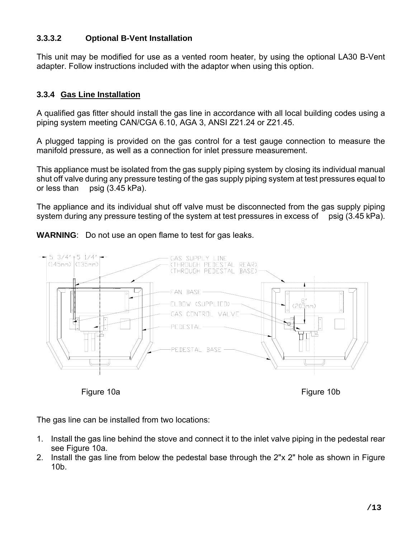### **3.3.3.2 Optional B-Vent Installation**

This unit may be modified for use as a vented room heater, by using the optional LA30 B-Vent adapter. Follow instructions included with the adaptor when using this option.

### **3.3.4 Gas Line Installation**

A qualified gas fitter should install the gas line in accordance with all local building codes using a piping system meeting CAN/CGA 6.10, AGA 3, ANSI Z21.24 or Z21.45.

A plugged tapping is provided on the gas control for a test gauge connection to measure the manifold pressure, as well as a connection for inlet pressure measurement.

This appliance must be isolated from the gas supply piping system by closing its individual manual shut off valve during any pressure testing of the gas supply piping system at test pressures equal to or less than psig (3.45 kPa).

The appliance and its individual shut off valve must be disconnected from the gas supply piping system during any pressure testing of the system at test pressures in excess of psig (3.45 kPa).

**WARNING**: Do not use an open flame to test for gas leaks.



Figure 10aFigure 10b

The gas line can be installed from two locations:

- 1. Install the gas line behind the stove and connect it to the inlet valve piping in the pedestal rear see Figure 10a.
- 2. Install the gas line from below the pedestal base through the 2"x 2" hole as shown in Figure 10b.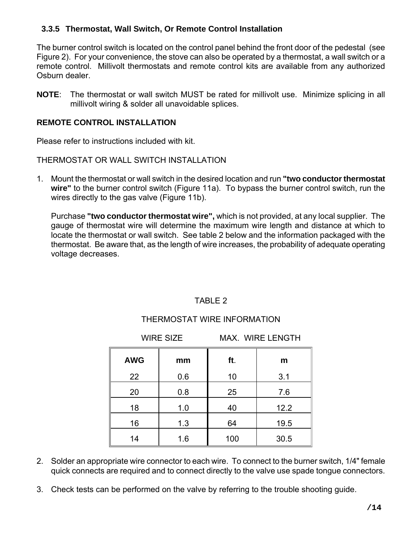### **3.3.5 Thermostat, Wall Switch, Or Remote Control Installation**

The burner control switch is located on the control panel behind the front door of the pedestal (see Figure 2). For your convenience, the stove can also be operated by a thermostat, a wall switch or a remote control. Millivolt thermostats and remote control kits are available from any authorized Osburn dealer.

**NOTE**: The thermostat or wall switch MUST be rated for millivolt use. Minimize splicing in all millivolt wiring & solder all unavoidable splices.

### **REMOTE CONTROL INSTALLATION**

Please refer to instructions included with kit.

THERMOSTAT OR WALL SWITCH INSTALLATION

1. Mount the thermostat or wall switch in the desired location and run **"two conductor thermostat wire"** to the burner control switch (Figure 11a). To bypass the burner control switch, run the wires directly to the gas valve (Figure 11b).

Purchase **"two conductor thermostat wire",** which is not provided, at any local supplier. The gauge of thermostat wire will determine the maximum wire length and distance at which to locate the thermostat or wall switch. See table 2 below and the information packaged with the thermostat. Be aware that, as the length of wire increases, the probability of adequate operating voltage decreases.

### TABLE 2

### THERMOSTAT WIRE INFORMATION

WIRE SIZE MAX. WIRE LENGTH

| <b>AWG</b> | mm  | ft. | m    |
|------------|-----|-----|------|
| 22         | 0.6 | 10  | 3.1  |
| 20         | 0.8 | 25  | 7.6  |
| 18         | 1.0 | 40  | 12.2 |
| 16         | 1.3 | 64  | 19.5 |
| 14         | 1.6 | 100 | 30.5 |

- 2. Solder an appropriate wire connector to each wire. To connect to the burner switch, 1/4" female quick connects are required and to connect directly to the valve use spade tongue connectors.
- 3. Check tests can be performed on the valve by referring to the trouble shooting guide.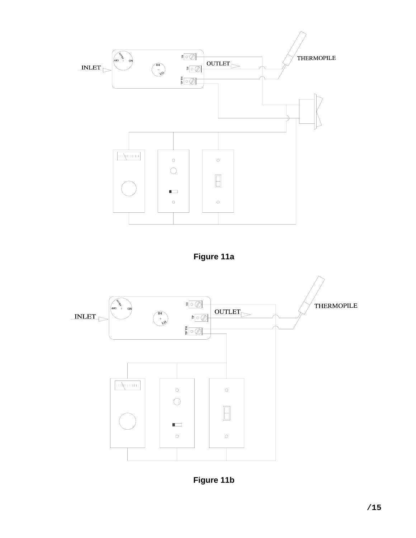

**Figure 11a** 



**Figure 11b**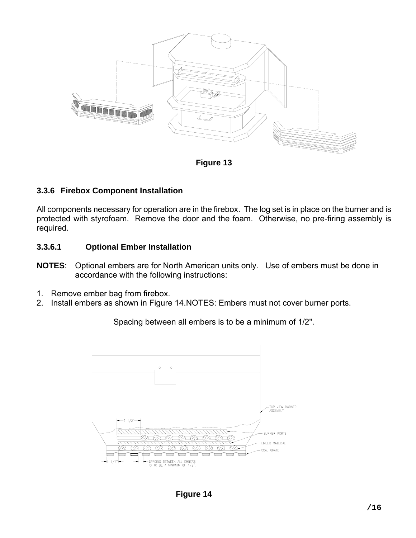

**Figure 13** 

### **3.3.6 Firebox Component Installation**

All components necessary for operation are in the firebox. The log set is in place on the burner and is protected with styrofoam. Remove the door and the foam. Otherwise, no pre-firing assembly is required.

### **3.3.6.1 Optional Ember Installation**

- **NOTES**: Optional embers are for North American units only. Use of embers must be done in accordance with the following instructions:
- 1. Remove ember bag from firebox.
- 2. Install embers as shown in Figure 14.NOTES: Embers must not cover burner ports.



Spacing between all embers is to be a minimum of 1/2".

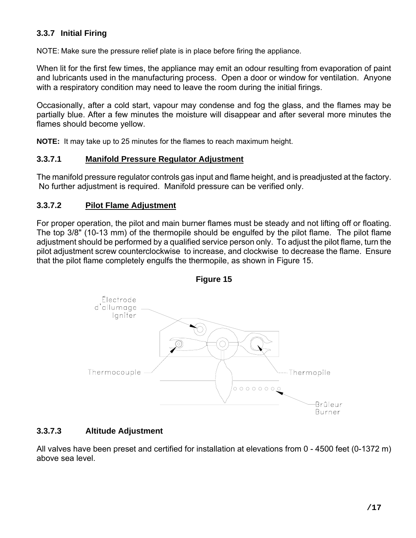### **3.3.7 Initial Firing**

NOTE: Make sure the pressure relief plate is in place before firing the appliance.

When lit for the first few times, the appliance may emit an odour resulting from evaporation of paint and lubricants used in the manufacturing process. Open a door or window for ventilation. Anyone with a respiratory condition may need to leave the room during the initial firings.

Occasionally, after a cold start, vapour may condense and fog the glass, and the flames may be partially blue. After a few minutes the moisture will disappear and after several more minutes the flames should become yellow.

**NOTE:** It may take up to 25 minutes for the flames to reach maximum height.

### **3.3.7.1 Manifold Pressure Regulator Adjustment**

The manifold pressure regulator controls gas input and flame height, and is preadjusted at the factory. No further adjustment is required. Manifold pressure can be verified only.

### **3.3.7.2 Pilot Flame Adjustment**

For proper operation, the pilot and main burner flames must be steady and not lifting off or floating. The top 3/8" (10-13 mm) of the thermopile should be engulfed by the pilot flame. The pilot flame adjustment should be performed by a qualified service person only. To adjust the pilot flame, turn the pilot adjustment screw counterclockwise to increase, and clockwise to decrease the flame. Ensure that the pilot flame completely engulfs the thermopile, as shown in Figure 15.





### **3.3.7.3 Altitude Adjustment**

All valves have been preset and certified for installation at elevations from 0 - 4500 feet (0-1372 m) above sea level.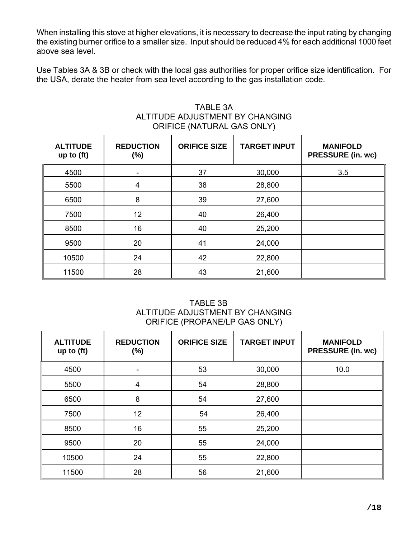When installing this stove at higher elevations, it is necessary to decrease the input rating by changing the existing burner orifice to a smaller size. Input should be reduced 4% for each additional 1000 feet above sea level.

Use Tables 3A & 3B or check with the local gas authorities for proper orifice size identification. For the USA, derate the heater from sea level according to the gas installation code.

| <b>ALTITUDE</b><br>up to $(ft)$ | <b>REDUCTION</b><br>(%) | <b>ORIFICE SIZE</b> | <b>TARGET INPUT</b> | <b>MANIFOLD</b><br><b>PRESSURE (in. wc)</b> |
|---------------------------------|-------------------------|---------------------|---------------------|---------------------------------------------|
| 4500                            |                         | 37                  | 30,000              | 3.5                                         |
| 5500                            | 4                       | 38                  | 28,800              |                                             |
| 6500                            | 8                       | 39                  | 27,600              |                                             |
| 7500                            | 12                      | 40                  | 26,400              |                                             |
| 8500                            | 16                      | 40                  | 25,200              |                                             |
| 9500                            | 20                      | 41                  | 24,000              |                                             |
| 10500                           | 24                      | 42                  | 22,800              |                                             |
| 11500                           | 28                      | 43                  | 21,600              |                                             |

### TABLE 3A ALTITUDE ADJUSTMENT BY CHANGING ORIFICE (NATURAL GAS ONLY)

TABLE 3B ALTITUDE ADJUSTMENT BY CHANGING ORIFICE (PROPANE/LP GAS ONLY)

| <b>ALTITUDE</b><br>up to $(ft)$ | <b>REDUCTION</b><br>$(\%)$ | <b>ORIFICE SIZE</b> | <b>TARGET INPUT</b> | <b>MANIFOLD</b><br><b>PRESSURE (in. wc)</b> |
|---------------------------------|----------------------------|---------------------|---------------------|---------------------------------------------|
| 4500                            |                            | 53                  | 30,000              | 10.0                                        |
| 5500                            | $\overline{4}$             | 54                  | 28,800              |                                             |
| 6500                            | 8                          | 54                  | 27,600              |                                             |
| 7500                            | 12                         | 54                  | 26,400              |                                             |
| 8500                            | 16                         | 55                  | 25,200              |                                             |
| 9500                            | 20                         | 55                  | 24,000              |                                             |
| 10500                           | 24                         | 55                  | 22,800              |                                             |
| 11500                           | 28                         | 56                  | 21,600              |                                             |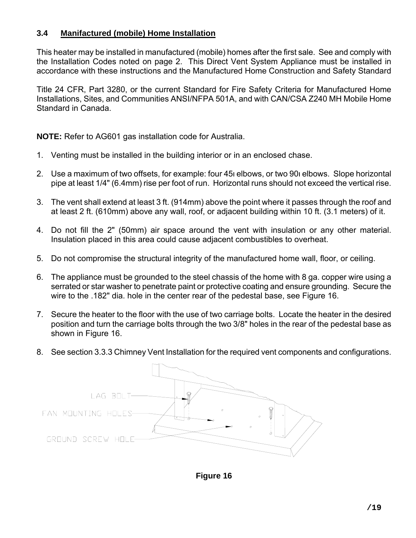### **3.4 Manifactured (mobile) Home Installation**

This heater may be installed in manufactured (mobile) homes after the first sale. See and comply with the Installation Codes noted on page 2. This Direct Vent System Appliance must be installed in accordance with these instructions and the Manufactured Home Construction and Safety Standard

Title 24 CFR, Part 3280, or the current Standard for Fire Safety Criteria for Manufactured Home Installations, Sites, and Communities ANSI/NFPA 501A, and with CAN/CSA Z240 MH Mobile Home Standard in Canada.

**NOTE:** Refer to AG601 gas installation code for Australia.

- 1. Venting must be installed in the building interior or in an enclosed chase.
- 2. Use a maximum of two offsets, for example: four 45 elbows, or two 90 elbows. Slope horizontal pipe at least 1/4" (6.4mm) rise per foot of run. Horizontal runs should not exceed the vertical rise.
- 3. The vent shall extend at least 3 ft. (914mm) above the point where it passes through the roof and at least 2 ft. (610mm) above any wall, roof, or adjacent building within 10 ft. (3.1 meters) of it.
- 4. Do not fill the 2" (50mm) air space around the vent with insulation or any other material. Insulation placed in this area could cause adjacent combustibles to overheat.
- 5. Do not compromise the structural integrity of the manufactured home wall, floor, or ceiling.
- 6. The appliance must be grounded to the steel chassis of the home with 8 ga. copper wire using a serrated or star washer to penetrate paint or protective coating and ensure grounding. Secure the wire to the .182" dia. hole in the center rear of the pedestal base, see Figure 16.
- 7. Secure the heater to the floor with the use of two carriage bolts. Locate the heater in the desired position and turn the carriage bolts through the two 3/8" holes in the rear of the pedestal base as shown in Figure 16.
- 8. See section 3.3.3 Chimney Vent Installation for the required vent components and configurations.



**Figure 16**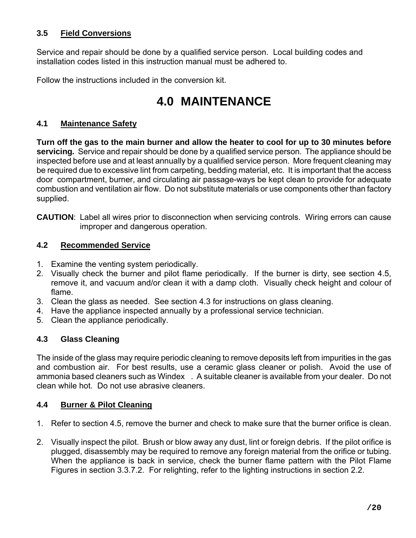### **3.5 Field Conversions**

Service and repair should be done by a qualified service person. Local building codes and installation codes listed in this instruction manual must be adhered to.

Follow the instructions included in the conversion kit.

## **4.0 MAINTENANCE**

### **4.1 Maintenance Safety**

**Turn off the gas to the main burner and allow the heater to cool for up to 30 minutes before servicing***.* Service and repair should be done by a qualified service person. The appliance should be inspected before use and at least annually by a qualified service person. More frequent cleaning may be required due to excessive lint from carpeting, bedding material, etc. It is important that the access door compartment, burner, and circulating air passage-ways be kept clean to provide for adequate combustion and ventilation air flow. Do not substitute materials or use components other than factory supplied.

**CAUTION**: Label all wires prior to disconnection when servicing controls. Wiring errors can cause improper and dangerous operation.

### **4.2 Recommended Service**

- 1. Examine the venting system periodically.
- 2. Visually check the burner and pilot flame periodically. If the burner is dirty, see section 4.5, remove it, and vacuum and/or clean it with a damp cloth. Visually check height and colour of flame.
- 3. Clean the glass as needed. See section 4.3 for instructions on glass cleaning.
- 4. Have the appliance inspected annually by a professional service technician.
- 5. Clean the appliance periodically.

### **4.3 Glass Cleaning**

The inside of the glass may require periodic cleaning to remove deposits left from impurities in the gas and combustion air. For best results, use a ceramic glass cleaner or polish. Avoid the use of ammonia based cleaners such as Windex. A suitable cleaner is available from your dealer. Do not clean while hot. Do not use abrasive cleaners.

### **4.4 Burner & Pilot Cleaning**

- 1. Refer to section 4.5, remove the burner and check to make sure that the burner orifice is clean.
- 2. Visually inspect the pilot. Brush or blow away any dust, lint or foreign debris. If the pilot orifice is plugged, disassembly may be required to remove any foreign material from the orifice or tubing. When the appliance is back in service, check the burner flame pattern with the Pilot Flame Figures in section 3.3.7.2. For relighting, refer to the lighting instructions in section 2.2.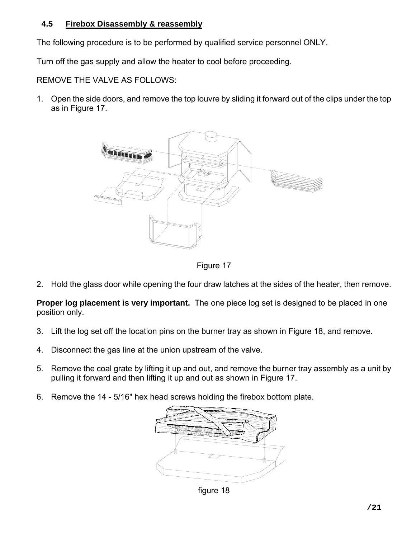### **4.5 Firebox Disassembly & reassembly**

The following procedure is to be performed by qualified service personnel ONLY.

Turn off the gas supply and allow the heater to cool before proceeding.

REMOVE THE VALVE AS FOLLOWS:

1. Open the side doors, and remove the top louvre by sliding it forward out of the clips under the top as in Figure 17.



Figure 17

2. Hold the glass door while opening the four draw latches at the sides of the heater, then remove.

**Proper log placement is very important.** The one piece log set is designed to be placed in one position only.

- 3. Lift the log set off the location pins on the burner tray as shown in Figure 18, and remove.
- 4. Disconnect the gas line at the union upstream of the valve.
- 5. Remove the coal grate by lifting it up and out, and remove the burner tray assembly as a unit by pulling it forward and then lifting it up and out as shown in Figure 17.
- 6. Remove the 14 5/16" hex head screws holding the firebox bottom plate.



figure 18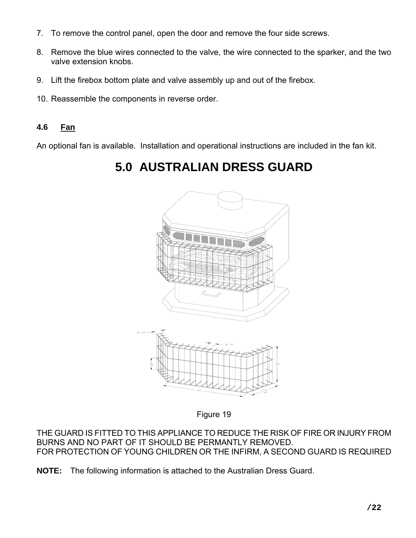- 7. To remove the control panel, open the door and remove the four side screws.
- 8. Remove the blue wires connected to the valve, the wire connected to the sparker, and the two valve extension knobs.
- 9. Lift the firebox bottom plate and valve assembly up and out of the firebox.
- 10. Reassemble the components in reverse order.

### **4.6 Fan**

An optional fan is available. Installation and operational instructions are included in the fan kit.

## **5.0 AUSTRALIAN DRESS GUARD**



Figure 19

THE GUARD IS FITTED TO THIS APPLIANCE TO REDUCE THE RISK OF FIRE OR INJURY FROM BURNS AND NO PART OF IT SHOULD BE PERMANTLY REMOVED. FOR PROTECTION OF YOUNG CHILDREN OR THE INFIRM, A SECOND GUARD IS REQUIRED

**NOTE:** The following information is attached to the Australian Dress Guard.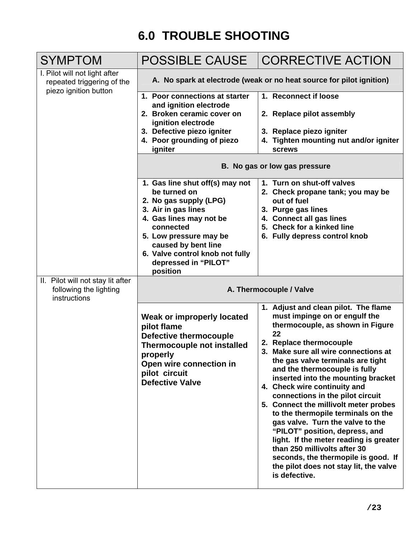# **6.0 TROUBLE SHOOTING**

| <b>SYMPTOM</b>                                                                       | <b>POSSIBLE CAUSE</b>                                                                                           | <b>CORRECTIVE ACTION</b>                                                                                                                                                                                                                                                                                                                                          |  |  |
|--------------------------------------------------------------------------------------|-----------------------------------------------------------------------------------------------------------------|-------------------------------------------------------------------------------------------------------------------------------------------------------------------------------------------------------------------------------------------------------------------------------------------------------------------------------------------------------------------|--|--|
| I. Pilot will not light after<br>repeated triggering of the<br>piezo ignition button | A. No spark at electrode (weak or no heat source for pilot ignition)                                            |                                                                                                                                                                                                                                                                                                                                                                   |  |  |
|                                                                                      | 1. Poor connections at starter<br>and ignition electrode                                                        | 1. Reconnect if loose                                                                                                                                                                                                                                                                                                                                             |  |  |
|                                                                                      | 2. Broken ceramic cover on<br>ignition electrode                                                                | 2. Replace pilot assembly                                                                                                                                                                                                                                                                                                                                         |  |  |
|                                                                                      | 3. Defective piezo igniter<br>4. Poor grounding of piezo                                                        | 3. Replace piezo igniter<br>4. Tighten mounting nut and/or igniter                                                                                                                                                                                                                                                                                                |  |  |
|                                                                                      | igniter                                                                                                         | <b>screws</b>                                                                                                                                                                                                                                                                                                                                                     |  |  |
|                                                                                      |                                                                                                                 | B. No gas or low gas pressure                                                                                                                                                                                                                                                                                                                                     |  |  |
|                                                                                      | 1. Gas line shut off(s) may not<br>be turned on                                                                 | 1. Turn on shut-off valves<br>2. Check propane tank; you may be                                                                                                                                                                                                                                                                                                   |  |  |
|                                                                                      | 2. No gas supply (LPG)<br>3. Air in gas lines                                                                   | out of fuel<br>3. Purge gas lines                                                                                                                                                                                                                                                                                                                                 |  |  |
|                                                                                      | 4. Gas lines may not be                                                                                         | 4. Connect all gas lines                                                                                                                                                                                                                                                                                                                                          |  |  |
|                                                                                      | connected                                                                                                       | 5. Check for a kinked line                                                                                                                                                                                                                                                                                                                                        |  |  |
|                                                                                      | 5. Low pressure may be<br>caused by bent line                                                                   | 6. Fully depress control knob                                                                                                                                                                                                                                                                                                                                     |  |  |
|                                                                                      | 6. Valve control knob not fully                                                                                 |                                                                                                                                                                                                                                                                                                                                                                   |  |  |
|                                                                                      | depressed in "PILOT"                                                                                            |                                                                                                                                                                                                                                                                                                                                                                   |  |  |
|                                                                                      | position                                                                                                        |                                                                                                                                                                                                                                                                                                                                                                   |  |  |
| II. Pilot will not stay lit after<br>following the lighting<br>instructions          |                                                                                                                 | A. Thermocouple / Valve                                                                                                                                                                                                                                                                                                                                           |  |  |
|                                                                                      | Weak or improperly located<br>pilot flame<br><b>Defective thermocouple</b><br><b>Thermocouple not installed</b> | 1. Adjust and clean pilot. The flame<br>must impinge on or engulf the<br>thermocouple, as shown in Figure<br>22<br>2. Replace thermocouple                                                                                                                                                                                                                        |  |  |
|                                                                                      | properly<br>Open wire connection in<br>pilot circuit<br><b>Defective Valve</b>                                  | 3. Make sure all wire connections at<br>the gas valve terminals are tight<br>and the thermocouple is fully<br>inserted into the mounting bracket<br>4. Check wire continuity and                                                                                                                                                                                  |  |  |
|                                                                                      |                                                                                                                 | connections in the pilot circuit<br>5. Connect the millivolt meter probes<br>to the thermopile terminals on the<br>gas valve. Turn the valve to the<br>"PILOT" position, depress, and<br>light. If the meter reading is greater<br>than 250 millivolts after 30<br>seconds, the thermopile is good. If<br>the pilot does not stay lit, the valve<br>is defective. |  |  |